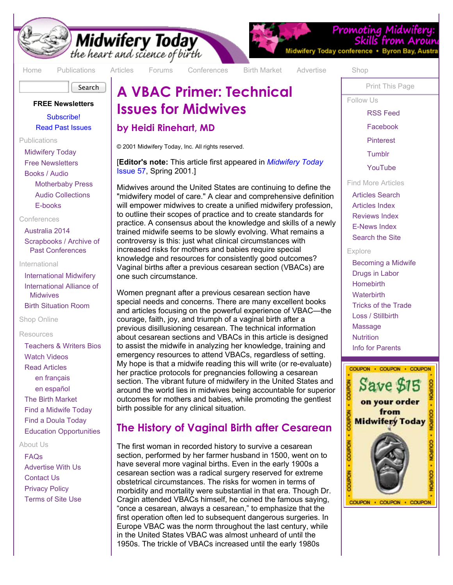

# **Midwifery Today**<br>the heart and science of birth

Search

[Home](http://www.midwiferytoday.com/) [Publications](http://midwiferytoday.com/publications.asp) [Articles](http://midwiferytoday.com/articles/index.asp) [Forums](http://community.midwiferytoday.com/) [Conferences](http://midwiferytoday.com/conferences/) [Birth Market](http://midwiferytoday.com/birthmarket/) [Advertise](http://midwiferytoday.com/ads/) [Shop](http://midwiferytoday.com/merchant2/merchant.mv)

#### **FREE Newsletters**

[Subscribe!](http://midwiferytoday.com/enews/subscribe.asp) [Read Past Issues](http://midwiferytoday.com/enews/index.asp)

[Publications](http://midwiferytoday.com/publications.asp)

[Midwifery Today](http://midwiferytoday.com/magazine/) [Free Newsletters](http://midwiferytoday.com/enews/subscribe.asp) [Books / Audio](http://midwiferytoday.com/books/) [Motherbaby Press](http://midwiferytoday.com/books/MotherbabyPress.asp)

[Audio Collections](http://midwiferytoday.com/audiocd/) [E-books](http://midwiferytoday.com/ebooks/)

#### [Conferences](http://midwiferytoday.com/conferences/)

[Australia 2014](http://midwiferytoday.com/conferences/Australia2014/) [Scrapbooks / Archive of](http://midwiferytoday.com/conferences/photos/) Past Conferences

#### International

[International Midwifery](http://midwiferytoday.com/international/) [International Alliance of](http://midwiferytoday.com/iam/) **Midwives** [Birth Situation Room](http://midwiferytoday.com/iam/GMC.asp)

#### [Shop Online](http://midwiferytoday.com/merchant2/merchant.mv)

#### Resources

[Teachers & Writers Bios](http://midwiferytoday.com/bio/) [Watch Videos](http://www.youtube.com/MidwiferyToday) [Read Articles](http://midwiferytoday.com/articles/index.asp) [en français](http://midwiferytoday.com/international/french.asp) [en español](http://midwiferytoday.com/international/spanish.asp) [The Birth Market](http://midwiferytoday.com/birthmarket/) [Find a Midwife Today](http://www.findamidwifetoday.com/birthmarket/search.asp) [Find a Doula Today](http://www.findadoulatoday.com/birthmarket/search.asp) [Education Opportunities](http://www.midwiferytoday.com/specials/ed_page.asp)

#### [About Us](http://midwiferytoday.com/company/aboutmt.asp)

[FAQs](http://midwiferytoday.com/company/frequent.asp) [Advertise With Us](http://midwiferytoday.com/ads/) [Contact Us](http://midwiferytoday.com/company/contact.asp) [Privacy Policy](http://midwiferytoday.com/company/privacy.htm) [Terms of Site Use](http://midwiferytoday.com/company/agreement.htm)

# **A VBAC Primer: Technical Issues for Midwives**

#### **by Heidi Rinehart, MD**

© 2001 Midwifery Today, Inc. All rights reserved.

[**Editor's note:** [This article first appeared in](http://midwiferytoday.com/magazine/issue57.asp) *Midwifery Today* Issue 57, Spring 2001.]

Midwives around the United States are continuing to define the "midwifery model of care." A clear and comprehensive definition will empower midwives to create a unified midwifery profession, to outline their scopes of practice and to create standards for practice. A consensus about the knowledge and skills of a newly trained midwife seems to be slowly evolving. What remains a controversy is this: just what clinical circumstances with increased risks for mothers and babies require special knowledge and resources for consistently good outcomes? Vaginal births after a previous cesarean section (VBACs) are one such circumstance.

Women pregnant after a previous cesarean section have special needs and concerns. There are many excellent books and articles focusing on the powerful experience of VBAC—the courage, faith, joy, and triumph of a vaginal birth after a previous disillusioning cesarean. The technical information about cesarean sections and VBACs in this article is designed to assist the midwife in analyzing her knowledge, training and emergency resources to attend VBACs, regardless of setting. My hope is that a midwife reading this will write (or re-evaluate) her practice protocols for pregnancies following a cesarean section. The vibrant future of midwifery in the United States and around the world lies in midwives being accountable for superior outcomes for mothers and babies, while promoting the gentlest birth possible for any clinical situation.

# **The History of Vaginal Birth after Cesarean**

The first woman in recorded history to survive a cesarean section, performed by her farmer husband in 1500, went on to have several more vaginal births. Even in the early 1900s a cesarean section was a radical surgery reserved for extreme obstetrical circumstances. The risks for women in terms of morbidity and mortality were substantial in that era. Though Dr. Cragin attended VBACs himself, he coined the famous saying, "once a cesarean, always a cesarean," to emphasize that the first operation often led to subsequent dangerous surgeries. In Europe VBAC was the norm throughout the last century, while in the United States VBAC was almost unheard of until the 1950s. The trickle of VBACs increased until the early 1980s

[Print This Page](http://midwiferytoday.com/printable.aspx)

Promoting Midwifer

Skills from

Follow Us

Midwifery Today conference . Byron Bay, Austr

[RSS Feed](http://midwiferytoday.com/rss/index.xml)

[Facebook](http://www.facebook.com/MidwiferyToday)

[Pinterest](http://pinterest.com/MidwiferyToday/)

**[Tumblr](http://midwiferytoday.tumblr.com/)** 

[YouTube](http://www.youtube.com/MidwiferyToday)

Find More Articles

[Articles Search](http://midwiferytoday.com/articles/) [Articles Index](http://midwiferytoday.com/articles/index.asp) [Reviews Index](http://midwiferytoday.com/reviews/index.asp) [E-News Index](http://midwiferytoday.com/enews/index.asp) [Search the Site](http://midwiferytoday.com/search/)

Explore

[Becoming a Midwife](http://midwiferytoday.com/becomemw.asp) [Drugs in Labor](http://midwiferytoday.com/drugs_in_labor.asp) **[Homebirth](http://midwiferytoday.com/homebirth.asp) [Waterbirth](http://midwiferytoday.com/waterbirth.asp)** [Tricks of the Trade](http://midwiferytoday.com/tricks/) [Loss / Stillbirth](http://midwiferytoday.com/loss.asp) [Massage](http://midwiferytoday.com/massage.asp) **[Nutrition](http://midwiferytoday.com/nutrition.asp)** [Info for Parents](http://midwiferytoday.com/havingababy/)

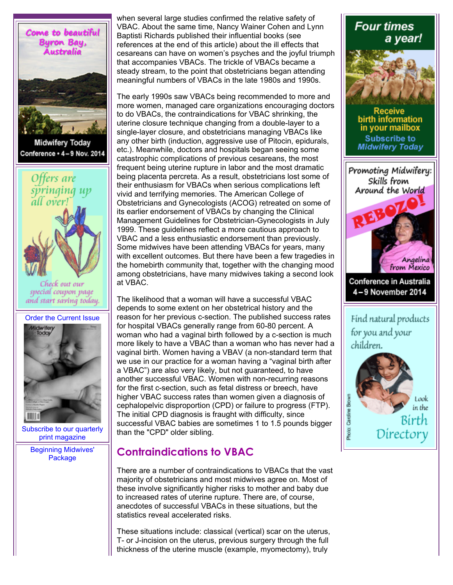

**Midwifery Today** Conference + 4-9 Nov. 2014



Check out our special coupon page and start saving today.



[Subscribe to our quarterly](http://midwiferytoday.com/redirect.asp?id=2349) print magazine

[Beginning Midwives'](http://midwiferytoday.com/redirect.asp?id=632) Package

when several large studies confirmed the relative safety of VBAC. About the same time, Nancy Wainer Cohen and Lynn Baptisti Richards published their influential books (see references at the end of this article) about the ill effects that cesareans can have on women's psyches and the joyful triumph that accompanies VBACs. The trickle of VBACs became a steady stream, to the point that obstetricians began attending meaningful numbers of VBACs in the late 1980s and 1990s.

The early 1990s saw VBACs being recommended to more and more women, managed care organizations encouraging doctors to do VBACs, the contraindications for VBAC shrinking, the uterine closure technique changing from a double-layer to a single-layer closure, and obstetricians managing VBACs like any other birth (induction, aggressive use of Pitocin, epidurals, etc.). Meanwhile, doctors and hospitals began seeing some catastrophic complications of previous cesareans, the most frequent being uterine rupture in labor and the most dramatic being placenta percreta. As a result, obstetricians lost some of their enthusiasm for VBACs when serious complications left vivid and terrifying memories. The American College of Obstetricians and Gynecologists (ACOG) retreated on some of its earlier endorsement of VBACs by changing the Clinical Management Guidelines for Obstetrician-Gynecologists in July 1999. These guidelines reflect a more cautious approach to VBAC and a less enthusiastic endorsement than previously. Some midwives have been attending VBACs for years, many with excellent outcomes. But there have been a few tragedies in the homebirth community that, together with the changing mood among obstetricians, have many midwives taking a second look at VBAC.

The likelihood that a woman will have a successful VBAC depends to some extent on her obstetrical history and the reason for her previous c-section. The published success rates for hospital VBACs generally range from 60-80 percent. A woman who had a vaginal birth followed by a c-section is much more likely to have a VBAC than a woman who has never had a vaginal birth. Women having a VBAV (a non-standard term that we use in our practice for a woman having a "vaginal birth after a VBAC") are also very likely, but not guaranteed, to have another successful VBAC. Women with non-recurring reasons for the first c-section, such as fetal distress or breech, have higher VBAC success rates than women given a diagnosis of cephalopelvic disproportion (CPD) or failure to progress (FTP). The initial CPD diagnosis is fraught with difficulty, since successful VBAC babies are sometimes 1 to 1.5 pounds bigger than the "CPD" older sibling.

# **Contraindications to VBAC**

There are a number of contraindications to VBACs that the vast majority of obstetricians and most midwives agree on. Most of these involve significantly higher risks to mother and baby due to increased rates of uterine rupture. There are, of course, anecdotes of successful VBACs in these situations, but the statistics reveal accelerated risks.

These situations include: classical (vertical) scar on the uterus, T- or J-incision on the uterus, previous surgery through the full thickness of the uterine muscle (example, myomectomy), truly



in the Bírth Directory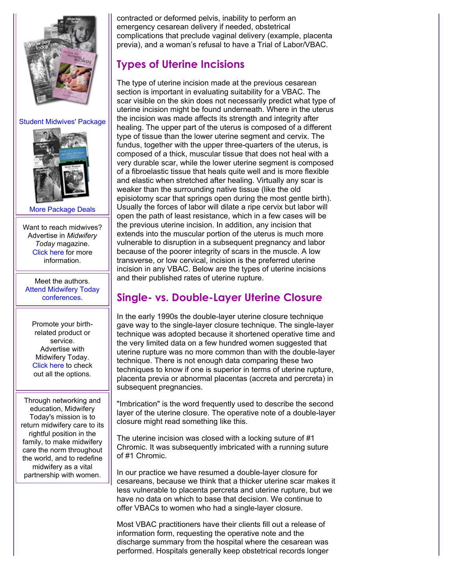

#### [Student Midwives' Package](http://midwiferytoday.com/redirect.asp?id=633)



[More Package Deals](http://midwiferytoday.com/redirect.asp?id=634)

Want to reach midwives? Advertise in *Midwifery Today* magazine. [Click here](http://midwiferytoday.com/redirect.asp?id=372) for more information.

Meet the authors. [Attend Midwifery Today](http://midwiferytoday.com/redirect.asp?id=367) conferences.

Promote your birthrelated product or service. Advertise with Midwifery Today. [Click here](http://midwiferytoday.com/redirect.asp?id=371) to check out all the options.

Through networking and education, Midwifery Today's mission is to return midwifery care to its rightful position in the family, to make midwifery care the norm throughout the world, and to redefine midwifery as a vital partnership with women.

contracted or deformed pelvis, inability to perform an emergency cesarean delivery if needed, obstetrical complications that preclude vaginal delivery (example, placenta previa), and a woman's refusal to have a Trial of Labor/VBAC.

# **Types of Uterine Incisions**

The type of uterine incision made at the previous cesarean section is important in evaluating suitability for a VBAC. The scar visible on the skin does not necessarily predict what type of uterine incision might be found underneath. Where in the uterus the incision was made affects its strength and integrity after healing. The upper part of the uterus is composed of a different type of tissue than the lower uterine segment and cervix. The fundus, together with the upper three-quarters of the uterus, is composed of a thick, muscular tissue that does not heal with a very durable scar, while the lower uterine segment is composed of a fibroelastic tissue that heals quite well and is more flexible and elastic when stretched after healing. Virtually any scar is weaker than the surrounding native tissue (like the old episiotomy scar that springs open during the most gentle birth). Usually the forces of labor will dilate a ripe cervix but labor will open the path of least resistance, which in a few cases will be the previous uterine incision. In addition, any incision that extends into the muscular portion of the uterus is much more vulnerable to disruption in a subsequent pregnancy and labor because of the poorer integrity of scars in the muscle. A low transverse, or low cervical, incision is the preferred uterine incision in any VBAC. Below are the types of uterine incisions and their published rates of uterine rupture.

# **Single- vs. Double-Layer Uterine Closure**

In the early 1990s the double-layer uterine closure technique gave way to the single-layer closure technique. The single-layer technique was adopted because it shortened operative time and the very limited data on a few hundred women suggested that uterine rupture was no more common than with the double-layer technique. There is not enough data comparing these two techniques to know if one is superior in terms of uterine rupture, placenta previa or abnormal placentas (accreta and percreta) in subsequent pregnancies.

"Imbrication" is the word frequently used to describe the second layer of the uterine closure. The operative note of a double-layer closure might read something like this.

The uterine incision was closed with a locking suture of #1 Chromic. It was subsequently imbricated with a running suture of #1 Chromic.

In our practice we have resumed a double-layer closure for cesareans, because we think that a thicker uterine scar makes it less vulnerable to placenta percreta and uterine rupture, but we have no data on which to base that decision. We continue to offer VBACs to women who had a single-layer closure.

Most VBAC practitioners have their clients fill out a release of information form, requesting the operative note and the discharge summary from the hospital where the cesarean was performed. Hospitals generally keep obstetrical records longer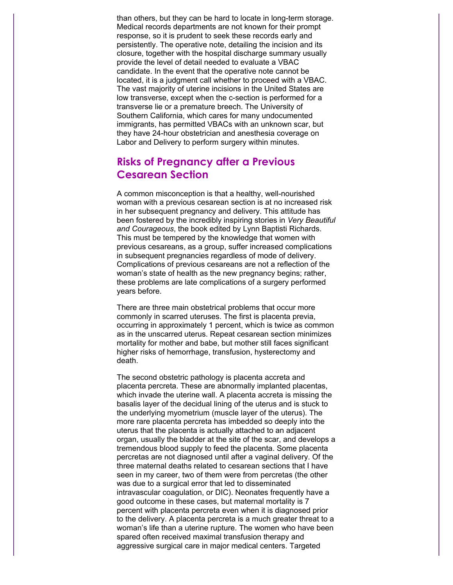than others, but they can be hard to locate in long-term storage. Medical records departments are not known for their prompt response, so it is prudent to seek these records early and persistently. The operative note, detailing the incision and its closure, together with the hospital discharge summary usually provide the level of detail needed to evaluate a VBAC candidate. In the event that the operative note cannot be located, it is a judgment call whether to proceed with a VBAC. The vast majority of uterine incisions in the United States are low transverse, except when the c-section is performed for a transverse lie or a premature breech. The University of Southern California, which cares for many undocumented immigrants, has permitted VBACs with an unknown scar, but they have 24-hour obstetrician and anesthesia coverage on Labor and Delivery to perform surgery within minutes.

# **Risks of Pregnancy after a Previous Cesarean Section**

A common misconception is that a healthy, well-nourished woman with a previous cesarean section is at no increased risk in her subsequent pregnancy and delivery. This attitude has been fostered by the incredibly inspiring stories in *Very Beautiful and Courageous*, the book edited by Lynn Baptisti Richards. This must be tempered by the knowledge that women with previous cesareans, as a group, suffer increased complications in subsequent pregnancies regardless of mode of delivery. Complications of previous cesareans are not a reflection of the woman's state of health as the new pregnancy begins; rather, these problems are late complications of a surgery performed years before.

There are three main obstetrical problems that occur more commonly in scarred uteruses. The first is placenta previa, occurring in approximately 1 percent, which is twice as common as in the unscarred uterus. Repeat cesarean section minimizes mortality for mother and babe, but mother still faces significant higher risks of hemorrhage, transfusion, hysterectomy and death.

The second obstetric pathology is placenta accreta and placenta percreta. These are abnormally implanted placentas, which invade the uterine wall. A placenta accreta is missing the basalis layer of the decidual lining of the uterus and is stuck to the underlying myometrium (muscle layer of the uterus). The more rare placenta percreta has imbedded so deeply into the uterus that the placenta is actually attached to an adjacent organ, usually the bladder at the site of the scar, and develops a tremendous blood supply to feed the placenta. Some placenta percretas are not diagnosed until after a vaginal delivery. Of the three maternal deaths related to cesarean sections that I have seen in my career, two of them were from percretas (the other was due to a surgical error that led to disseminated intravascular coagulation, or DIC). Neonates frequently have a good outcome in these cases, but maternal mortality is 7 percent with placenta percreta even when it is diagnosed prior to the delivery. A placenta percreta is a much greater threat to a woman's life than a uterine rupture. The women who have been spared often received maximal transfusion therapy and aggressive surgical care in major medical centers. Targeted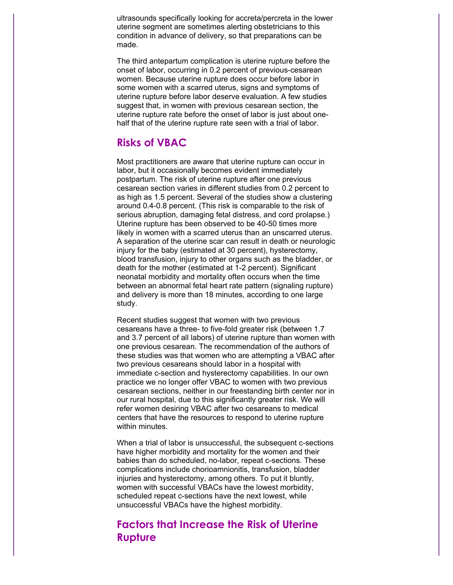ultrasounds specifically looking for accreta/percreta in the lower uterine segment are sometimes alerting obstetricians to this condition in advance of delivery, so that preparations can be made.

The third antepartum complication is uterine rupture before the onset of labor, occurring in 0.2 percent of previous-cesarean women. Because uterine rupture does occur before labor in some women with a scarred uterus, signs and symptoms of uterine rupture before labor deserve evaluation. A few studies suggest that, in women with previous cesarean section, the uterine rupture rate before the onset of labor is just about onehalf that of the uterine rupture rate seen with a trial of labor.

### **Risks of VBAC**

Most practitioners are aware that uterine rupture can occur in labor, but it occasionally becomes evident immediately postpartum. The risk of uterine rupture after one previous cesarean section varies in different studies from 0.2 percent to as high as 1.5 percent. Several of the studies show a clustering around 0.4-0.8 percent. (This risk is comparable to the risk of serious abruption, damaging fetal distress, and cord prolapse.) Uterine rupture has been observed to be 40-50 times more likely in women with a scarred uterus than an unscarred uterus. A separation of the uterine scar can result in death or neurologic injury for the baby (estimated at 30 percent), hysterectomy, blood transfusion, injury to other organs such as the bladder, or death for the mother (estimated at 1-2 percent). Significant neonatal morbidity and mortality often occurs when the time between an abnormal fetal heart rate pattern (signaling rupture) and delivery is more than 18 minutes, according to one large study.

Recent studies suggest that women with two previous cesareans have a three- to five-fold greater risk (between 1.7 and 3.7 percent of all labors) of uterine rupture than women with one previous cesarean. The recommendation of the authors of these studies was that women who are attempting a VBAC after two previous cesareans should labor in a hospital with immediate c-section and hysterectomy capabilities. In our own practice we no longer offer VBAC to women with two previous cesarean sections, neither in our freestanding birth center nor in our rural hospital, due to this significantly greater risk. We will refer women desiring VBAC after two cesareans to medical centers that have the resources to respond to uterine rupture within minutes.

When a trial of labor is unsuccessful, the subsequent c-sections have higher morbidity and mortality for the women and their babies than do scheduled, no-labor, repeat c-sections. These complications include chorioamnionitis, transfusion, bladder injuries and hysterectomy, among others. To put it bluntly, women with successful VBACs have the lowest morbidity, scheduled repeat c-sections have the next lowest, while unsuccessful VBACs have the highest morbidity.

## **Factors that Increase the Risk of Uterine Rupture**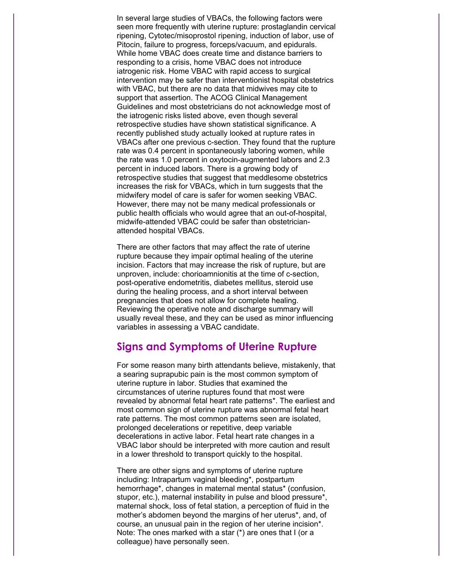In several large studies of VBACs, the following factors were seen more frequently with uterine rupture: prostaglandin cervical ripening, Cytotec/misoprostol ripening, induction of labor, use of Pitocin, failure to progress, forceps/vacuum, and epidurals. While home VBAC does create time and distance barriers to responding to a crisis, home VBAC does not introduce iatrogenic risk. Home VBAC with rapid access to surgical intervention may be safer than interventionist hospital obstetrics with VBAC, but there are no data that midwives may cite to support that assertion. The ACOG Clinical Management Guidelines and most obstetricians do not acknowledge most of the iatrogenic risks listed above, even though several retrospective studies have shown statistical significance. A recently published study actually looked at rupture rates in VBACs after one previous c-section. They found that the rupture rate was 0.4 percent in spontaneously laboring women, while the rate was 1.0 percent in oxytocin-augmented labors and 2.3 percent in induced labors. There is a growing body of retrospective studies that suggest that meddlesome obstetrics increases the risk for VBACs, which in turn suggests that the midwifery model of care is safer for women seeking VBAC. However, there may not be many medical professionals or public health officials who would agree that an out-of-hospital, midwife-attended VBAC could be safer than obstetricianattended hospital VBACs.

There are other factors that may affect the rate of uterine rupture because they impair optimal healing of the uterine incision. Factors that may increase the risk of rupture, but are unproven, include: chorioamnionitis at the time of c-section, post-operative endometritis, diabetes mellitus, steroid use during the healing process, and a short interval between pregnancies that does not allow for complete healing. Reviewing the operative note and discharge summary will usually reveal these, and they can be used as minor influencing variables in assessing a VBAC candidate.

### **Signs and Symptoms of Uterine Rupture**

For some reason many birth attendants believe, mistakenly, that a searing suprapubic pain is the most common symptom of uterine rupture in labor. Studies that examined the circumstances of uterine ruptures found that most were revealed by abnormal fetal heart rate patterns\*. The earliest and most common sign of uterine rupture was abnormal fetal heart rate patterns. The most common patterns seen are isolated, prolonged decelerations or repetitive, deep variable decelerations in active labor. Fetal heart rate changes in a VBAC labor should be interpreted with more caution and result in a lower threshold to transport quickly to the hospital.

There are other signs and symptoms of uterine rupture including: Intrapartum vaginal bleeding\*, postpartum hemorrhage\*, changes in maternal mental status\* (confusion, stupor, etc.), maternal instability in pulse and blood pressure\*, maternal shock, loss of fetal station, a perception of fluid in the mother's abdomen beyond the margins of her uterus\*, and, of course, an unusual pain in the region of her uterine incision\*. Note: The ones marked with a star (\*) are ones that I (or a colleague) have personally seen.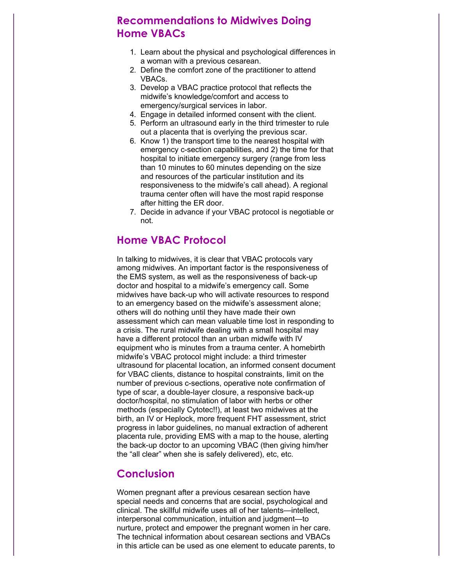# **Recommendations to Midwives Doing Home VBACs**

- 1. Learn about the physical and psychological differences in a woman with a previous cesarean.
- 2. Define the comfort zone of the practitioner to attend VBACs.
- 3. Develop a VBAC practice protocol that reflects the midwife's knowledge/comfort and access to emergency/surgical services in labor.
- 4. Engage in detailed informed consent with the client.
- 5. Perform an ultrasound early in the third trimester to rule out a placenta that is overlying the previous scar.
- 6. Know 1) the transport time to the nearest hospital with emergency c-section capabilities, and 2) the time for that hospital to initiate emergency surgery (range from less than 10 minutes to 60 minutes depending on the size and resources of the particular institution and its responsiveness to the midwife's call ahead). A regional trauma center often will have the most rapid response after hitting the ER door.
- 7. Decide in advance if your VBAC protocol is negotiable or not.

# **Home VBAC Protocol**

In talking to midwives, it is clear that VBAC protocols vary among midwives. An important factor is the responsiveness of the EMS system, as well as the responsiveness of back-up doctor and hospital to a midwife's emergency call. Some midwives have back-up who will activate resources to respond to an emergency based on the midwife's assessment alone; others will do nothing until they have made their own assessment which can mean valuable time lost in responding to a crisis. The rural midwife dealing with a small hospital may have a different protocol than an urban midwife with IV equipment who is minutes from a trauma center. A homebirth midwife's VBAC protocol might include: a third trimester ultrasound for placental location, an informed consent document for VBAC clients, distance to hospital constraints, limit on the number of previous c-sections, operative note confirmation of type of scar, a double-layer closure, a responsive back-up doctor/hospital, no stimulation of labor with herbs or other methods (especially Cytotec!!), at least two midwives at the birth, an IV or Heplock, more frequent FHT assessment, strict progress in labor guidelines, no manual extraction of adherent placenta rule, providing EMS with a map to the house, alerting the back-up doctor to an upcoming VBAC (then giving him/her the "all clear" when she is safely delivered), etc, etc.

#### **Conclusion**

Women pregnant after a previous cesarean section have special needs and concerns that are social, psychological and clinical. The skillful midwife uses all of her talents—intellect, interpersonal communication, intuition and judgment—to nurture, protect and empower the pregnant women in her care. The technical information about cesarean sections and VBACs in this article can be used as one element to educate parents, to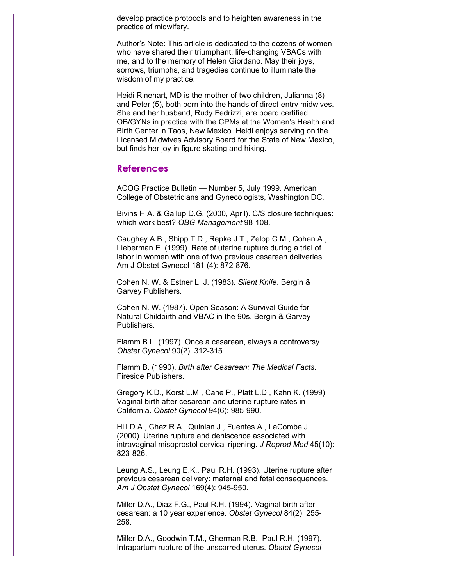develop practice protocols and to heighten awareness in the practice of midwifery.

Author's Note: This article is dedicated to the dozens of women who have shared their triumphant, life-changing VBACs with me, and to the memory of Helen Giordano. May their joys, sorrows, triumphs, and tragedies continue to illuminate the wisdom of my practice.

Heidi Rinehart, MD is the mother of two children, Julianna (8) and Peter (5), both born into the hands of direct-entry midwives. She and her husband, Rudy Fedrizzi, are board certified OB/GYNs in practice with the CPMs at the Women's Health and Birth Center in Taos, New Mexico. Heidi enjoys serving on the Licensed Midwives Advisory Board for the State of New Mexico, but finds her joy in figure skating and hiking.

#### **References**

ACOG Practice Bulletin — Number 5, July 1999. American College of Obstetricians and Gynecologists, Washington DC.

Bivins H.A. & Gallup D.G. (2000, April). C/S closure techniques: which work best? *OBG Management* 98-108.

Caughey A.B., Shipp T.D., Repke J.T., Zelop C.M., Cohen A., Lieberman E. (1999). Rate of uterine rupture during a trial of labor in women with one of two previous cesarean deliveries. Am J Obstet Gynecol 181 (4): 872-876.

Cohen N. W. & Estner L. J. (1983). *Silent Knife*. Bergin & Garvey Publishers.

Cohen N. W. (1987). Open Season: A Survival Guide for Natural Childbirth and VBAC in the 90s. Bergin & Garvey Publishers.

Flamm B.L. (1997). Once a cesarean, always a controversy. *Obstet Gynecol* 90(2): 312-315.

Flamm B. (1990). *Birth after Cesarean: The Medical Facts*. Fireside Publishers.

Gregory K.D., Korst L.M., Cane P., Platt L.D., Kahn K. (1999). Vaginal birth after cesarean and uterine rupture rates in California. *Obstet Gynecol* 94(6): 985-990.

Hill D.A., Chez R.A., Quinlan J., Fuentes A., LaCombe J. (2000). Uterine rupture and dehiscence associated with intravaginal misoprostol cervical ripening. *J Reprod Med* 45(10): 823-826.

Leung A.S., Leung E.K., Paul R.H. (1993). Uterine rupture after previous cesarean delivery: maternal and fetal consequences. *Am J Obstet Gynecol* 169(4): 945-950.

Miller D.A., Diaz F.G., Paul R.H. (1994). Vaginal birth after cesarean: a 10 year experience. *Obstet Gynecol* 84(2): 255- 258.

Miller D.A., Goodwin T.M., Gherman R.B., Paul R.H. (1997). Intrapartum rupture of the unscarred uterus. *Obstet Gynecol*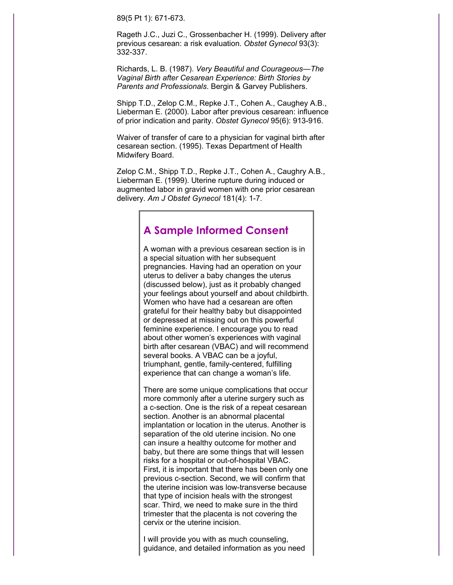89(5 Pt 1): 671-673.

Rageth J.C., Juzi C., Grossenbacher H. (1999). Delivery after previous cesarean: a risk evaluation. *Obstet Gynecol* 93(3): 332-337.

Richards, L. B. (1987). *Very Beautiful and Courageous—The Vaginal Birth after Cesarean Experience: Birth Stories by Parents and Professionals*. Bergin & Garvey Publishers.

Shipp T.D., Zelop C.M., Repke J.T., Cohen A., Caughey A.B., Lieberman E. (2000). Labor after previous cesarean: influence of prior indication and parity. *Obstet Gynecol* 95(6): 913-916.

Waiver of transfer of care to a physician for vaginal birth after cesarean section. (1995). Texas Department of Health Midwifery Board.

Zelop C.M., Shipp T.D., Repke J.T., Cohen A., Caughry A.B., Lieberman E. (1999). Uterine rupture during induced or augmented labor in gravid women with one prior cesarean delivery. *Am J Obstet Gynecol* 181(4): 1-7.

### **A Sample Informed Consent**

A woman with a previous cesarean section is in a special situation with her subsequent pregnancies. Having had an operation on your uterus to deliver a baby changes the uterus (discussed below), just as it probably changed your feelings about yourself and about childbirth. Women who have had a cesarean are often grateful for their healthy baby but disappointed or depressed at missing out on this powerful feminine experience. I encourage you to read about other women's experiences with vaginal birth after cesarean (VBAC) and will recommend several books. A VBAC can be a joyful, triumphant, gentle, family-centered, fulfilling experience that can change a woman's life.

There are some unique complications that occur more commonly after a uterine surgery such as a c-section. One is the risk of a repeat cesarean section. Another is an abnormal placental implantation or location in the uterus. Another is separation of the old uterine incision. No one can insure a healthy outcome for mother and baby, but there are some things that will lessen risks for a hospital or out-of-hospital VBAC. First, it is important that there has been only one previous c-section. Second, we will confirm that the uterine incision was low-transverse because that type of incision heals with the strongest scar. Third, we need to make sure in the third trimester that the placenta is not covering the cervix or the uterine incision.

I will provide you with as much counseling, guidance, and detailed information as you need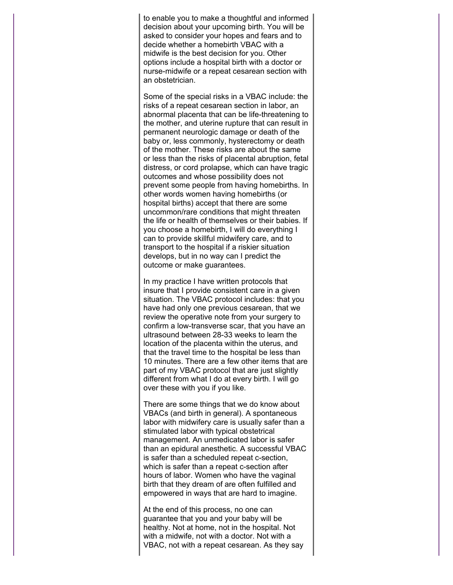to enable you to make a thoughtful and informed decision about your upcoming birth. You will be asked to consider your hopes and fears and to decide whether a homebirth VBAC with a midwife is the best decision for you. Other options include a hospital birth with a doctor or nurse-midwife or a repeat cesarean section with an obstetrician.

Some of the special risks in a VBAC include: the risks of a repeat cesarean section in labor, an abnormal placenta that can be life-threatening to the mother, and uterine rupture that can result in permanent neurologic damage or death of the baby or, less commonly, hysterectomy or death of the mother. These risks are about the same or less than the risks of placental abruption, fetal distress, or cord prolapse, which can have tragic outcomes and whose possibility does not prevent some people from having homebirths. In other words women having homebirths (or hospital births) accept that there are some uncommon/rare conditions that might threaten the life or health of themselves or their babies. If you choose a homebirth, I will do everything I can to provide skillful midwifery care, and to transport to the hospital if a riskier situation develops, but in no way can I predict the outcome or make guarantees.

In my practice I have written protocols that insure that I provide consistent care in a given situation. The VBAC protocol includes: that you have had only one previous cesarean, that we review the operative note from your surgery to confirm a low-transverse scar, that you have an ultrasound between 28-33 weeks to learn the location of the placenta within the uterus, and that the travel time to the hospital be less than 10 minutes. There are a few other items that are part of my VBAC protocol that are just slightly different from what I do at every birth. I will go over these with you if you like.

There are some things that we do know about VBACs (and birth in general). A spontaneous labor with midwifery care is usually safer than a stimulated labor with typical obstetrical management. An unmedicated labor is safer than an epidural anesthetic. A successful VBAC is safer than a scheduled repeat c-section, which is safer than a repeat c-section after hours of labor. Women who have the vaginal birth that they dream of are often fulfilled and empowered in ways that are hard to imagine.

At the end of this process, no one can guarantee that you and your baby will be healthy. Not at home, not in the hospital. Not with a midwife, not with a doctor. Not with a VBAC, not with a repeat cesarean. As they say